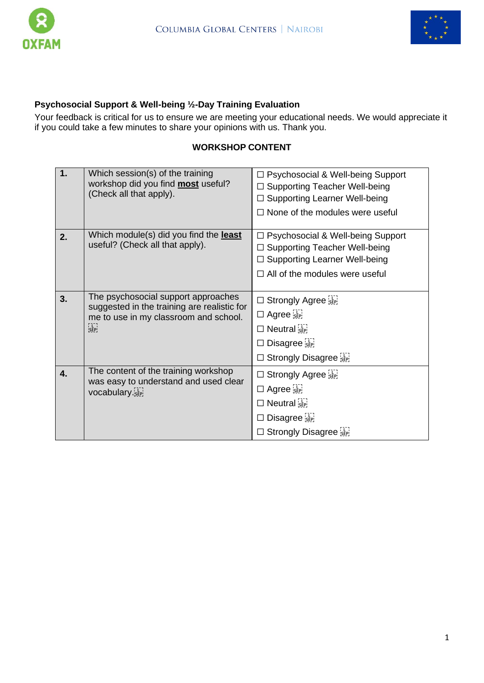



# **Psychosocial Support & Well-being ½-Day Training Evaluation**

Your feedback is critical for us to ensure we are meeting your educational needs. We would appreciate it if you could take a few minutes to share your opinions with us. Thank you.

## **WORKSHOP CONTENT**

| 1. | Which session(s) of the training<br>workshop did you find <b>most</b> useful?<br>(Check all that apply).                    | □ Psychosocial & Well-being Support<br>□ Supporting Teacher Well-being<br>$\Box$ Supporting Learner Well-being<br>$\Box$ None of the modules were useful                                                  |
|----|-----------------------------------------------------------------------------------------------------------------------------|-----------------------------------------------------------------------------------------------------------------------------------------------------------------------------------------------------------|
| 2. | Which module(s) did you find the <b>least</b><br>useful? (Check all that apply).                                            | □ Psychosocial & Well-being Support<br>$\Box$ Supporting Teacher Well-being<br>□ Supporting Learner Well-being<br>$\Box$ All of the modules were useful                                                   |
| 3. | The psychosocial support approaches<br>suggested in the training are realistic for<br>me to use in my classroom and school. | $\Box$ Strongly Agree<br>$\Box$ Agree $\frac{1}{25}$<br>$\Box$ Neutral $\sum_{s \in P}$<br>$\square$ Disagree $\sum_{\text{SEP}}$<br>$\square$ Strongly Disagree $\overline{\mathbb{S}^1_{\mathbb{R}^2}}$ |
| 4. | The content of the training workshop<br>was easy to understand and used clear<br>vocabulary.                                | $\Box$ Strongly Agree $s_{\text{eff}}$<br>$\Box$ Agree $\frac{1}{25}$<br>$\Box$ Neutral $\sum_{s\in P}$<br>$\square$ Disagree $\overline{\mathbb{R}}$<br>$\Box$ Strongly Disagree $\overline{\mathbb{R}}$ |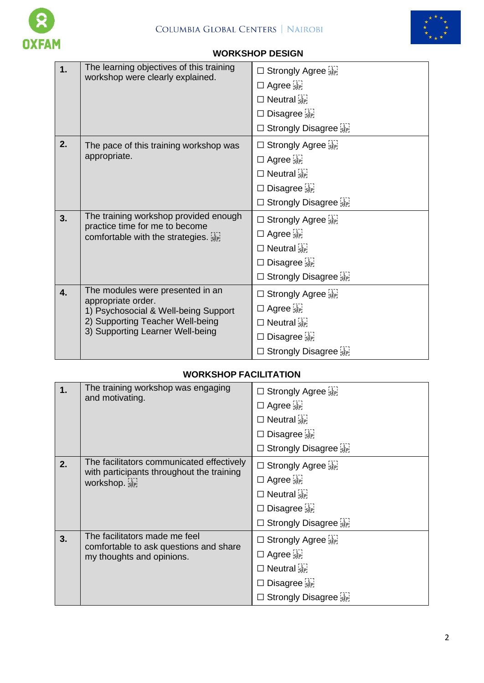



### **WORKSHOP DESIGN**

| 1. | The learning objectives of this training<br>workshop were clearly explained.                                                                                           | □ Strongly Agree<br>$\Box$ Agree $\frac{1}{25}$<br>$\Box$ Neutral $\sum_{SEP}$<br>Disagree<br>$\Box$<br>$\Box$ Strongly Disagree $\overline{\mathbb{R}}$                                         |
|----|------------------------------------------------------------------------------------------------------------------------------------------------------------------------|--------------------------------------------------------------------------------------------------------------------------------------------------------------------------------------------------|
| 2. | The pace of this training workshop was<br>appropriate.                                                                                                                 | □ Strongly Agree<br>$\Box$ Agree $\overline{\mathsf{sep}}$<br>$\Box$ Neutral $\sum_{s \in P}$<br>$\square$ Disagree $\overline{\mathbb{R}}$<br>$\Box$ Strongly Disagree $\overline{\mathbb{R}}$  |
| 3. | The training workshop provided enough<br>practice time for me to become<br>comfortable with the strategies.                                                            | $\Box$ Strongly Agree<br>$\Box$ Agree $\overline{\mathsf{sep}}$<br>$\Box$ Neutral $\sum_{SEP}$<br>$\square$ Disagree $\overline{\mathbb{R}}$<br>$\Box$ Strongly Disagree $\overline{\mathbb{R}}$ |
| 4. | The modules were presented in an<br>appropriate order.<br>1) Psychosocial & Well-being Support<br>2) Supporting Teacher Well-being<br>3) Supporting Learner Well-being | □ Strongly Agree<br>$\Box$ Agree $\overline{\mathsf{sep}}$<br>$\Box$ Neutral $\Xi$<br>Disagree<br>$\Box$ Strongly Disagree $\overline{\mathbb{R}}$                                               |

### **WORKSHOP FACILITATION**

| 1. | The training workshop was engaging<br>and motivating.                                                | $\Box$ Strongly Agree<br>$\Box$ Agree $\left[\begin{smallmatrix} 1 & 1 \\ 2 & 1 \end{smallmatrix}\right]$<br>$\Box$ Neutral $\ddot{\mathbf{S}}$ <sub>SEP</sub><br>$\square$ Disagree $\overline{\mathbf{S}_{\text{EP}}^{(1)}}$<br>□ Strongly Disagree SEP |
|----|------------------------------------------------------------------------------------------------------|-----------------------------------------------------------------------------------------------------------------------------------------------------------------------------------------------------------------------------------------------------------|
| 2. | The facilitators communicated effectively<br>with participants throughout the training<br>workshop.  | $\Box$ Strongly Agree $\overline{\mathsf{sep}}$<br>$\Box$ Agree $\frac{1}{25}$<br>$\Box$ Neutral $\overline{\mathsf{S}}$ <sub>SEP</sub><br>$\square$ Disagree $\overline{\mathsf{sep}}$<br>$\Box$ Strongly Disagree $\Xi$                                 |
| 3. | The facilitators made me feel<br>comfortable to ask questions and share<br>my thoughts and opinions. | $\Box$ Strongly Agree $\Xi$<br>$\Box$ Agree $\frac{1}{15}$<br>$\Box$ Neutral $\ddot{\mathbf{s}}$ <sub>SEP</sub><br>$\square$ Disagree $\overline{\mathbf{S}_{\text{EP}}^{(1)}}$<br>$\Box$ Strongly Disagree $\Xi$                                         |